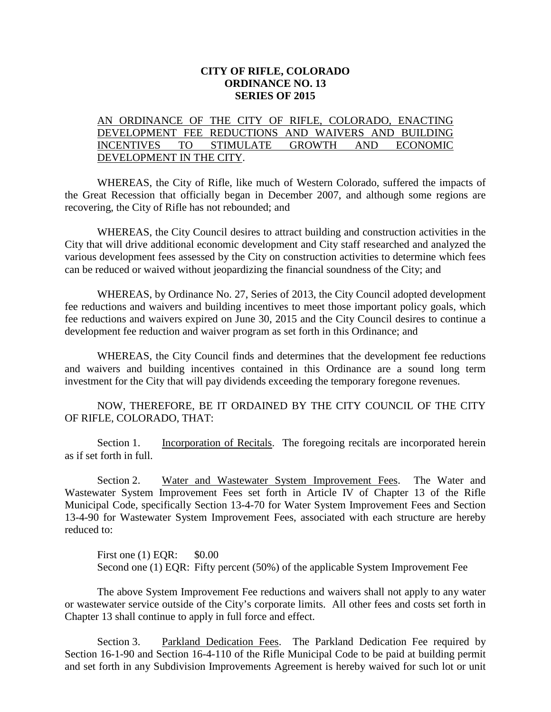## **CITY OF RIFLE, COLORADO ORDINANCE NO. 13 SERIES OF 2015**

## AN ORDINANCE OF THE CITY OF RIFLE, COLORADO, ENACTING DEVELOPMENT FEE REDUCTIONS AND WAIVERS AND BUILDING INCENTIVES TO STIMULATE GROWTH AND ECONOMIC DEVELOPMENT IN THE CITY.

WHEREAS, the City of Rifle, like much of Western Colorado, suffered the impacts of the Great Recession that officially began in December 2007, and although some regions are recovering, the City of Rifle has not rebounded; and

WHEREAS, the City Council desires to attract building and construction activities in the City that will drive additional economic development and City staff researched and analyzed the various development fees assessed by the City on construction activities to determine which fees can be reduced or waived without jeopardizing the financial soundness of the City; and

WHEREAS, by Ordinance No. 27, Series of 2013, the City Council adopted development fee reductions and waivers and building incentives to meet those important policy goals, which fee reductions and waivers expired on June 30, 2015 and the City Council desires to continue a development fee reduction and waiver program as set forth in this Ordinance; and

WHEREAS, the City Council finds and determines that the development fee reductions and waivers and building incentives contained in this Ordinance are a sound long term investment for the City that will pay dividends exceeding the temporary foregone revenues.

NOW, THEREFORE, BE IT ORDAINED BY THE CITY COUNCIL OF THE CITY OF RIFLE, COLORADO, THAT:

Section 1. Incorporation of Recitals. The foregoing recitals are incorporated herein as if set forth in full.

Section 2. Water and Wastewater System Improvement Fees. The Water and Wastewater System Improvement Fees set forth in Article IV of Chapter 13 of the Rifle Municipal Code, specifically Section 13-4-70 for Water System Improvement Fees and Section 13-4-90 for Wastewater System Improvement Fees, associated with each structure are hereby reduced to:

First one (1) EOR: \$0.00 Second one (1) EQR: Fifty percent (50%) of the applicable System Improvement Fee

The above System Improvement Fee reductions and waivers shall not apply to any water or wastewater service outside of the City's corporate limits. All other fees and costs set forth in Chapter 13 shall continue to apply in full force and effect.

Section 3. Parkland Dedication Fees. The Parkland Dedication Fee required by Section 16-1-90 and Section 16-4-110 of the Rifle Municipal Code to be paid at building permit and set forth in any Subdivision Improvements Agreement is hereby waived for such lot or unit